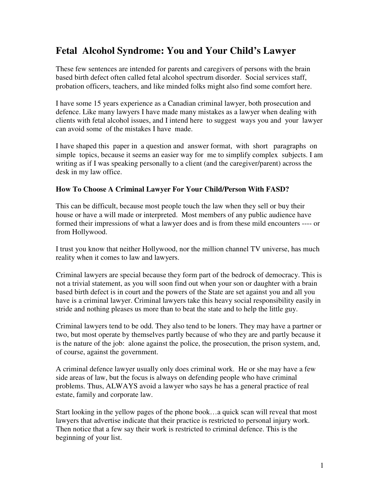# **Fetal Alcohol Syndrome: You and Your Child's Lawyer**

These few sentences are intended for parents and caregivers of persons with the brain based birth defect often called fetal alcohol spectrum disorder. Social services staff, probation officers, teachers, and like minded folks might also find some comfort here.

I have some 15 years experience as a Canadian criminal lawyer, both prosecution and defence. Like many lawyers I have made many mistakes as a lawyer when dealing with clients with fetal alcohol issues, and I intend here to suggest ways you and your lawyer can avoid some of the mistakes I have made.

I have shaped this paper in a question and answer format, with short paragraphs on simple topics, because it seems an easier way for me to simplify complex subjects. I am writing as if I was speaking personally to a client (and the caregiver/parent) across the desk in my law office.

#### **How To Choose A Criminal Lawyer For Your Child/Person With FASD?**

This can be difficult, because most people touch the law when they sell or buy their house or have a will made or interpreted. Most members of any public audience have formed their impressions of what a lawyer does and is from these mild encounters ---- or from Hollywood.

I trust you know that neither Hollywood, nor the million channel TV universe, has much reality when it comes to law and lawyers.

Criminal lawyers are special because they form part of the bedrock of democracy. This is not a trivial statement, as you will soon find out when your son or daughter with a brain based birth defect is in court and the powers of the State are set against you and all you have is a criminal lawyer. Criminal lawyers take this heavy social responsibility easily in stride and nothing pleases us more than to beat the state and to help the little guy.

Criminal lawyers tend to be odd. They also tend to be loners. They may have a partner or two, but most operate by themselves partly because of who they are and partly because it is the nature of the job: alone against the police, the prosecution, the prison system, and, of course, against the government.

A criminal defence lawyer usually only does criminal work. He or she may have a few side areas of law, but the focus is always on defending people who have criminal problems. Thus, ALWAYS avoid a lawyer who says he has a general practice of real estate, family and corporate law.

Start looking in the yellow pages of the phone book…a quick scan will reveal that most lawyers that advertise indicate that their practice is restricted to personal injury work. Then notice that a few say their work is restricted to criminal defence. This is the beginning of your list.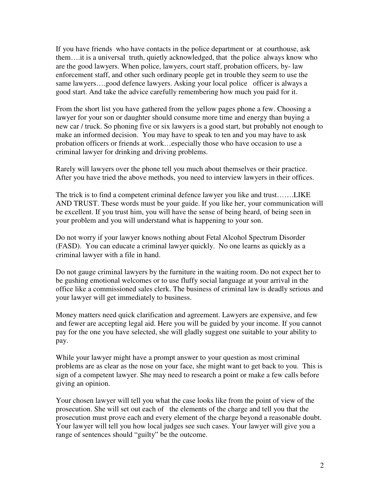If you have friends who have contacts in the police department or at courthouse, ask them….it is a universal truth, quietly acknowledged, that the police always know who are the good lawyers. When police, lawyers, court staff, probation officers, by- law enforcement staff, and other such ordinary people get in trouble they seem to use the same lawyers….good defence lawyers. Asking your local police officer is always a good start. And take the advice carefully remembering how much you paid for it.

From the short list you have gathered from the yellow pages phone a few. Choosing a lawyer for your son or daughter should consume more time and energy than buying a new car / truck. So phoning five or six lawyers is a good start, but probably not enough to make an informed decision. You may have to speak to ten and you may have to ask probation officers or friends at work…especially those who have occasion to use a criminal lawyer for drinking and driving problems.

Rarely will lawyers over the phone tell you much about themselves or their practice. After you have tried the above methods, you need to interview lawyers in their offices.

The trick is to find a competent criminal defence lawyer you like and trust…….LIKE AND TRUST. These words must be your guide. If you like her, your communication will be excellent. If you trust him, you will have the sense of being heard, of being seen in your problem and you will understand what is happening to your son.

Do not worry if your lawyer knows nothing about Fetal Alcohol Spectrum Disorder (FASD). You can educate a criminal lawyer quickly. No one learns as quickly as a criminal lawyer with a file in hand.

Do not gauge criminal lawyers by the furniture in the waiting room. Do not expect her to be gushing emotional welcomes or to use fluffy social language at your arrival in the office like a commissioned sales clerk. The business of criminal law is deadly serious and your lawyer will get immediately to business.

Money matters need quick clarification and agreement. Lawyers are expensive, and few and fewer are accepting legal aid. Here you will be guided by your income. If you cannot pay for the one you have selected, she will gladly suggest one suitable to your ability to pay.

While your lawyer might have a prompt answer to your question as most criminal problems are as clear as the nose on your face, she might want to get back to you. This is sign of a competent lawyer. She may need to research a point or make a few calls before giving an opinion.

Your chosen lawyer will tell you what the case looks like from the point of view of the prosecution. She will set out each of the elements of the charge and tell you that the prosecution must prove each and every element of the charge beyond a reasonable doubt. Your lawyer will tell you how local judges see such cases. Your lawyer will give you a range of sentences should "guilty" be the outcome.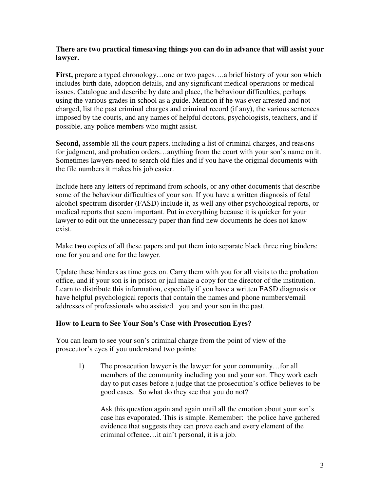#### **There are two practical timesaving things you can do in advance that will assist your lawyer.**

**First,** prepare a typed chronology…one or two pages….a brief history of your son which includes birth date, adoption details, and any significant medical operations or medical issues. Catalogue and describe by date and place, the behaviour difficulties, perhaps using the various grades in school as a guide. Mention if he was ever arrested and not charged, list the past criminal charges and criminal record (if any), the various sentences imposed by the courts, and any names of helpful doctors, psychologists, teachers, and if possible, any police members who might assist.

**Second,** assemble all the court papers, including a list of criminal charges, and reasons for judgment, and probation orders…anything from the court with your son's name on it. Sometimes lawyers need to search old files and if you have the original documents with the file numbers it makes his job easier.

Include here any letters of reprimand from schools, or any other documents that describe some of the behaviour difficulties of your son. If you have a written diagnosis of fetal alcohol spectrum disorder (FASD) include it, as well any other psychological reports, or medical reports that seem important. Put in everything because it is quicker for your lawyer to edit out the unnecessary paper than find new documents he does not know exist.

Make **two** copies of all these papers and put them into separate black three ring binders: one for you and one for the lawyer.

Update these binders as time goes on. Carry them with you for all visits to the probation office, and if your son is in prison or jail make a copy for the director of the institution. Learn to distribute this information, especially if you have a written FASD diagnosis or have helpful psychological reports that contain the names and phone numbers/email addresses of professionals who assisted you and your son in the past.

# **How to Learn to See Your Son's Case with Prosecution Eyes?**

You can learn to see your son's criminal charge from the point of view of the prosecutor's eyes if you understand two points:

1) The prosecution lawyer is the lawyer for your community…for all members of the community including you and your son. They work each day to put cases before a judge that the prosecution's office believes to be good cases. So what do they see that you do not?

Ask this question again and again until all the emotion about your son's case has evaporated. This is simple. Remember: the police have gathered evidence that suggests they can prove each and every element of the criminal offence…it ain't personal, it is a job.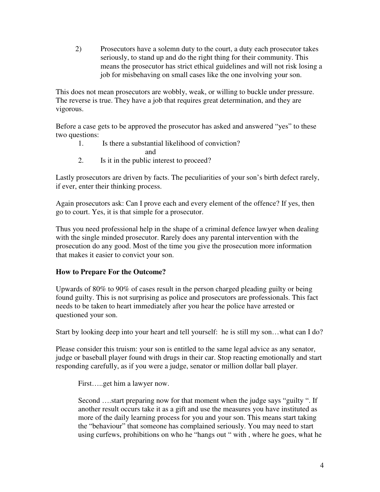2) Prosecutors have a solemn duty to the court, a duty each prosecutor takes seriously, to stand up and do the right thing for their community. This means the prosecutor has strict ethical guidelines and will not risk losing a job for misbehaving on small cases like the one involving your son.

This does not mean prosecutors are wobbly, weak, or willing to buckle under pressure. The reverse is true. They have a job that requires great determination, and they are vigorous.

Before a case gets to be approved the prosecutor has asked and answered "yes" to these two questions:

- 1. Is there a substantial likelihood of conviction?
	- and
- 2. Is it in the public interest to proceed?

Lastly prosecutors are driven by facts. The peculiarities of your son's birth defect rarely, if ever, enter their thinking process.

Again prosecutors ask: Can I prove each and every element of the offence? If yes, then go to court. Yes, it is that simple for a prosecutor.

Thus you need professional help in the shape of a criminal defence lawyer when dealing with the single minded prosecutor. Rarely does any parental intervention with the prosecution do any good. Most of the time you give the prosecution more information that makes it easier to convict your son.

# **How to Prepare For the Outcome?**

Upwards of 80% to 90% of cases result in the person charged pleading guilty or being found guilty. This is not surprising as police and prosecutors are professionals. This fact needs to be taken to heart immediately after you hear the police have arrested or questioned your son.

Start by looking deep into your heart and tell yourself: he is still my son…what can I do?

Please consider this truism: your son is entitled to the same legal advice as any senator, judge or baseball player found with drugs in their car. Stop reacting emotionally and start responding carefully, as if you were a judge, senator or million dollar ball player.

First…..get him a lawyer now.

Second ….start preparing now for that moment when the judge says "guilty ". If another result occurs take it as a gift and use the measures you have instituted as more of the daily learning process for you and your son. This means start taking the "behaviour" that someone has complained seriously. You may need to start using curfews, prohibitions on who he "hangs out " with , where he goes, what he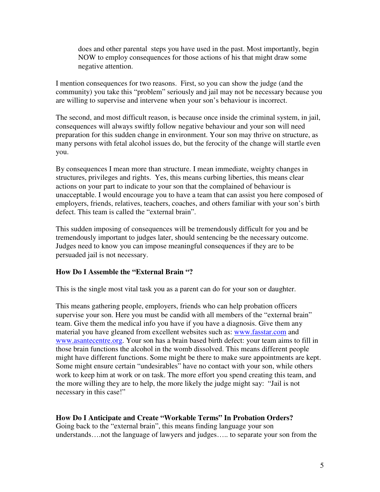does and other parental steps you have used in the past. Most importantly, begin NOW to employ consequences for those actions of his that might draw some negative attention.

I mention consequences for two reasons. First, so you can show the judge (and the community) you take this "problem" seriously and jail may not be necessary because you are willing to supervise and intervene when your son's behaviour is incorrect.

The second, and most difficult reason, is because once inside the criminal system, in jail, consequences will always swiftly follow negative behaviour and your son will need preparation for this sudden change in environment. Your son may thrive on structure, as many persons with fetal alcohol issues do, but the ferocity of the change will startle even you.

By consequences I mean more than structure. I mean immediate, weighty changes in structures, privileges and rights. Yes, this means curbing liberties, this means clear actions on your part to indicate to your son that the complained of behaviour is unacceptable. I would encourage you to have a team that can assist you here composed of employers, friends, relatives, teachers, coaches, and others familiar with your son's birth defect. This team is called the "external brain".

This sudden imposing of consequences will be tremendously difficult for you and be tremendously important to judges later, should sentencing be the necessary outcome. Judges need to know you can impose meaningful consequences if they are to be persuaded jail is not necessary.

# **How Do I Assemble the "External Brain "?**

This is the single most vital task you as a parent can do for your son or daughter.

This means gathering people, employers, friends who can help probation officers supervise your son. Here you must be candid with all members of the "external brain" team. Give them the medical info you have if you have a diagnosis. Give them any material you have gleaned from excellent websites such as: www.fasstar.com and www.asantecentre.org. Your son has a brain based birth defect: your team aims to fill in those brain functions the alcohol in the womb dissolved. This means different people might have different functions. Some might be there to make sure appointments are kept. Some might ensure certain "undesirables" have no contact with your son, while others work to keep him at work or on task. The more effort you spend creating this team, and the more willing they are to help, the more likely the judge might say: "Jail is not necessary in this case!"

# **How Do I Anticipate and Create "Workable Terms" In Probation Orders?**

Going back to the "external brain", this means finding language your son understands….not the language of lawyers and judges….. to separate your son from the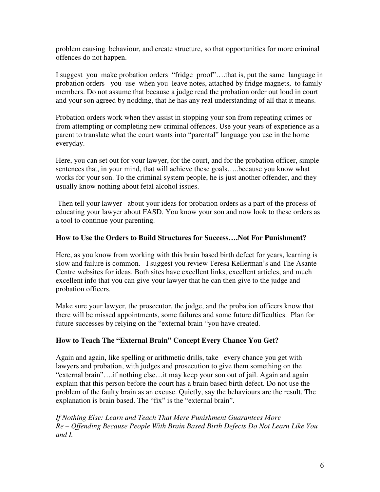problem causing behaviour, and create structure, so that opportunities for more criminal offences do not happen.

I suggest you make probation orders "fridge proof"….that is, put the same language in probation orders you use when you leave notes, attached by fridge magnets, to family members. Do not assume that because a judge read the probation order out loud in court and your son agreed by nodding, that he has any real understanding of all that it means.

Probation orders work when they assist in stopping your son from repeating crimes or from attempting or completing new criminal offences. Use your years of experience as a parent to translate what the court wants into "parental" language you use in the home everyday.

Here, you can set out for your lawyer, for the court, and for the probation officer, simple sentences that, in your mind, that will achieve these goals…..because you know what works for your son. To the criminal system people, he is just another offender, and they usually know nothing about fetal alcohol issues.

Then tell your lawyer about your ideas for probation orders as a part of the process of educating your lawyer about FASD. You know your son and now look to these orders as a tool to continue your parenting.

# **How to Use the Orders to Build Structures for Success….Not For Punishment?**

Here, as you know from working with this brain based birth defect for years, learning is slow and failure is common. I suggest you review Teresa Kellerman's and The Asante Centre websites for ideas. Both sites have excellent links, excellent articles, and much excellent info that you can give your lawyer that he can then give to the judge and probation officers.

Make sure your lawyer, the prosecutor, the judge, and the probation officers know that there will be missed appointments, some failures and some future difficulties. Plan for future successes by relying on the "external brain "you have created.

# **How to Teach The "External Brain" Concept Every Chance You Get?**

Again and again, like spelling or arithmetic drills, take every chance you get with lawyers and probation, with judges and prosecution to give them something on the "external brain"….if nothing else…it may keep your son out of jail. Again and again explain that this person before the court has a brain based birth defect. Do not use the problem of the faulty brain as an excuse. Quietly, say the behaviours are the result. The explanation is brain based. The "fix" is the "external brain".

*If Nothing Else: Learn and Teach That Mere Punishment Guarantees More Re – Offending Because People With Brain Based Birth Defects Do Not Learn Like You and I.*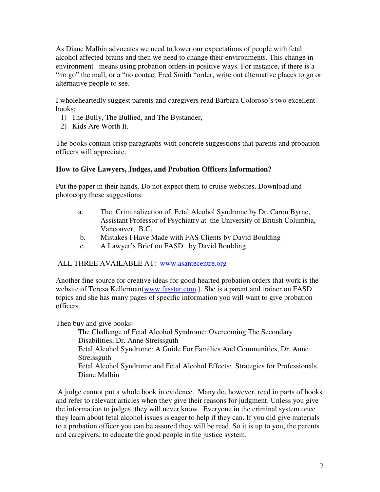As Diane Malbin advocates we need to lower our expectations of people with fetal alcohol affected brains and then we need to change their environments. This change in environment means using probation orders in positive ways. For instance, if there is a "no go" the mall, or a "no contact Fred Smith "order, write out alternative places to go or alternative people to see.

I wholeheartedly suggest parents and caregivers read Barbara Coloroso's two excellent books:

- 1) The Bully, The Bullied, and The Bystander,
- 2) Kids Are Worth It.

The books contain crisp paragraphs with concrete suggestions that parents and probation officers will appreciate.

#### **How to Give Lawyers, Judges, and Probation Officers Information?**

Put the paper in their hands. Do not expect them to cruise websites. Download and photocopy these suggestions:

- a. The Criminalization of Fetal Alcohol Syndrome by Dr. Caron Byrne, Assistant Professor of Psychiatry at the University of British Columbia, Vancouver, B.C.
- b. Mistakes I Have Made with FAS Clients by David Boulding
- c. A Lawyer's Brief on FASD by David Boulding

#### ALL THREE AVAILABLE AT: www.asantecentre.org

Another fine source for creative ideas for good-hearted probation orders that work is the website of Teresa Kellerman(www.fasstar.com). She is a parent and trainer on FASD topics and she has many pages of specific information you will want to give probation officers.

Then buy and give books:

The Challenge of Fetal Alcohol Syndrome: Overcoming The Secondary Disabilities, Dr. Anne Streissguth Fetal Alcohol Syndrome: A Guide For Families And Communities, Dr. Anne **Streissguth** Fetal Alcohol Syndrome and Fetal Alcohol Effects: Strategies for Professionals, Diane Malbin

A judge cannot put a whole book in evidence. Many do, however, read in parts of books and refer to relevant articles when they give their reasons for judgment. Unless you give the information to judges, they will never know. Everyone in the criminal system once they learn about fetal alcohol issues is eager to help if they can. If you did give materials to a probation officer you can be assured they will be read. So it is up to you, the parents and caregivers, to educate the good people in the justice system.